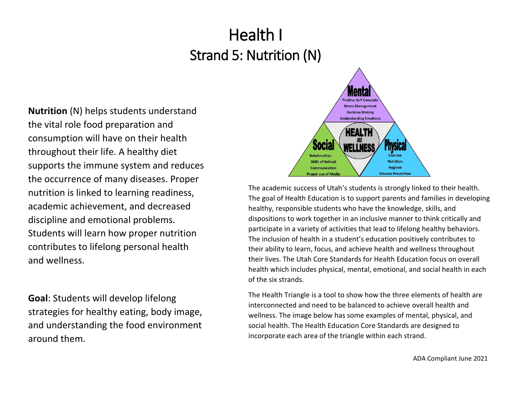**Nutrition** (N) helps students understand the vital role food preparation and consumption will have on their health throughout their life. A healthy diet supports the immune system and reduces the occurrence of many diseases. Proper nutrition is linked to learning readiness, academic achievement, and decreased discipline and emotional problems. Students will learn how proper nutrition contributes to lifelong personal health and wellness.

**Goal**: Students will develop lifelong strategies for healthy eating, body image, and understanding the food environment around them.



The academic success of Utah's students is strongly linked to their health. The goal of Health Education is to support parents and families in developing healthy, responsible students who have the knowledge, skills, and dispositions to work together in an inclusive manner to think critically and participate in a variety of activities that lead to lifelong healthy behaviors. The inclusion of health in a student's education positively contributes to their ability to learn, focus, and achieve health and wellness throughout their lives. The Utah Core Standards for Health Education focus on overall health which includes physical, mental, emotional, and social health in each of the six strands.

The Health Triangle is a tool to show how the three elements of health are interconnected and need to be balanced to achieve overall health and wellness. The image below has some examples of mental, physical, and social health. The Health Education Core Standards are designed to incorporate each area of the triangle within each strand.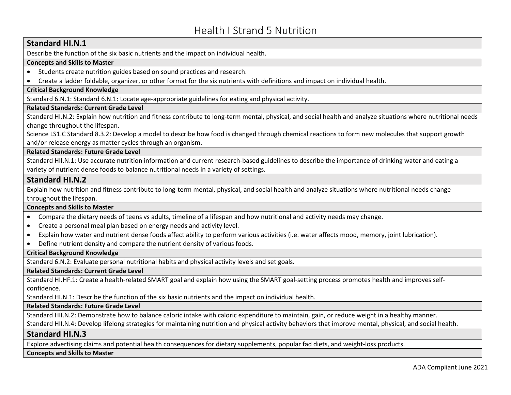# **Standard HI.N.1**

Describe the function of the six basic nutrients and the impact on individual health.

### **Concepts and Skills to Master**

- Students create nutrition guides based on sound practices and research.
- Create a ladder foldable, organizer, or other format for the six nutrients with definitions and impact on individual health.

# **Critical Background Knowledge**

Standard 6.N.1: Standard 6.N.1: Locate age-appropriate guidelines for eating and physical activity.

# **Related Standards: Current Grade Level**

Standard HI.N.2: Explain how nutrition and fitness contribute to long-term mental, physical, and social health and analyze situations where nutritional needs change throughout the lifespan.

Science LS1.C Standard 8.3.2: Develop a model to describe how food is changed through chemical reactions to form new molecules that support growth and/or release energy as matter cycles through an organism.

# **Related Standards: Future Grade Level**

Standard HII.N.1: Use accurate nutrition information and current research-based guidelines to describe the importance of drinking water and eating a variety of nutrient dense foods to balance nutritional needs in a variety of settings.

# **Standard HI.N.2**

Explain how nutrition and fitness contribute to long-term mental, physical, and social health and analyze situations where nutritional needs change throughout the lifespan.

#### **Concepts and Skills to Master**

- Compare the dietary needs of teens vs adults, timeline of a lifespan and how nutritional and activity needs may change.
- Create a personal meal plan based on energy needs and activity level.
- Explain how water and nutrient dense foods affect ability to perform various activities (i.e. water affects mood, memory, joint lubrication).
- Define nutrient density and compare the nutrient density of various foods.

#### **Critical Background Knowledge**

Standard 6.N.2: Evaluate personal nutritional habits and physical activity levels and set goals.

#### **Related Standards: Current Grade Level**

Standard HI.HF.1: Create a health-related SMART goal and explain how using the SMART goal-setting process promotes health and improves selfconfidence.

Standard HI.N.1: Describe the function of the six basic nutrients and the impact on individual health.

# **Related Standards: Future Grade Level**

Standard HII.N.2: Demonstrate how to balance caloric intake with caloric expenditure to maintain, gain, or reduce weight in a healthy manner.

Standard HII.N.4: Develop lifelong strategies for maintaining nutrition and physical activity behaviors that improve mental, physical, and social health.

# **Standard HI.N.3**

Explore advertising claims and potential health consequences for dietary supplements, popular fad diets, and weight-loss products.

#### **Concepts and Skills to Master**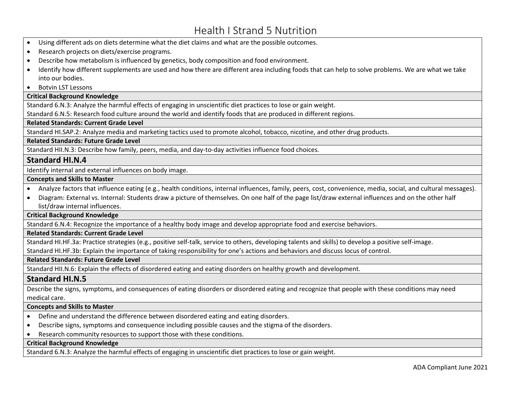- Using different ads on diets determine what the diet claims and what are the possible outcomes.
- Research projects on diets/exercise programs.
- Describe how metabolism is influenced by genetics, body composition and food environment.
- Identify how different supplements are used and how there are different area including foods that can help to solve problems. We are what we take into our bodies.
- Botvin LST Lessons

#### **Critical Background Knowledge**

Standard 6.N.3: Analyze the harmful effects of engaging in unscientific diet practices to lose or gain weight.

Standard 6.N.5: Research food culture around the world and identify foods that are produced in different regions.

#### **Related Standards: Current Grade Level**

Standard HI.SAP.2: Analyze media and marketing tactics used to promote alcohol, tobacco, nicotine, and other drug products.

#### **Related Standards: Future Grade Level**

Standard HII.N.3: Describe how family, peers, media, and day-to-day activities influence food choices.

# **Standard HI.N.4**

Identify internal and external influences on body image.

#### **Concepts and Skills to Master**

- Analyze factors that influence eating (e.g., health conditions, internal influences, family, peers, cost, convenience, media, social, and cultural messages).
- Diagram: External vs. Internal: Students draw a picture of themselves. On one half of the page list/draw external influences and on the other half list/draw internal influences.

**Critical Background Knowledge**

Standard 6.N.4: Recognize the importance of a healthy body image and develop appropriate food and exercise behaviors.

#### **Related Standards: Current Grade Level**

Standard HI.HF.3a: Practice strategies (e.g., positive self-talk, service to others, developing talents and skills) to develop a positive self-image.

Standard HI.HF.3b: Explain the importance of taking responsibility for one's actions and behaviors and discuss locus of control.

#### **Related Standards: Future Grade Level**

Standard HII.N.6: Explain the effects of disordered eating and eating disorders on healthy growth and development.

# **Standard HI.N.5**

Describe the signs, symptoms, and consequences of eating disorders or disordered eating and recognize that people with these conditions may need medical care.

#### **Concepts and Skills to Master**

- Define and understand the difference between disordered eating and eating disorders.
- Describe signs, symptoms and consequence including possible causes and the stigma of the disorders.
- Research community resources to support those with these conditions.

#### **Critical Background Knowledge**

Standard 6.N.3: Analyze the harmful effects of engaging in unscientific diet practices to lose or gain weight.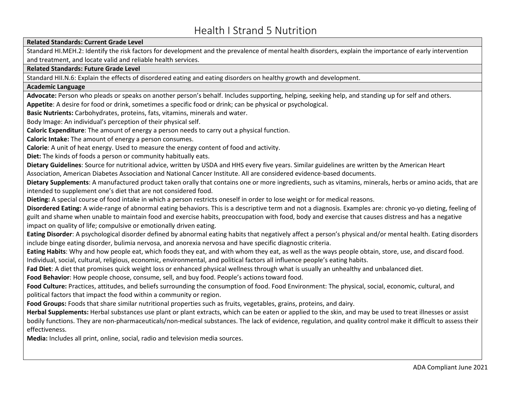#### **Related Standards: Current Grade Level**

Standard HI.MEH.2: Identify the risk factors for development and the prevalence of mental health disorders, explain the importance of early intervention and treatment, and locate valid and reliable health services.

#### **Related Standards: Future Grade Level**

Standard HII.N.6: Explain the effects of disordered eating and eating disorders on healthy growth and development.

#### **Academic Language**

**Advocate:** Person who pleads or speaks on another person's behalf. Includes supporting, helping, seeking help, and standing up for self and others. **Appetite**: A desire for food or drink, sometimes a specific food or drink; can be physical or psychological.

**Basic Nutrients:** Carbohydrates, proteins, fats, vitamins, minerals and water.

Body Image: An individual's perception of their physical self.

**Caloric Expenditure**: The amount of energy a person needs to carry out a physical function.

**Caloric Intake:** The amount of energy a person consumes.

**Calorie**: A unit of heat energy. Used to measure the energy content of food and activity.

**Diet:** The kinds of foods a person or community habitually eats.

**Dietary Guidelines**: Source for nutritional advice, written by USDA and HHS every five years. Similar guidelines are written by the American Heart Association, American Diabetes Association and National Cancer Institute. All are considered evidence-based documents.

**Dietary Supplements**: A manufactured product taken orally that contains one or more ingredients, such as vitamins, minerals, herbs or amino acids, that are intended to supplement one's diet that are not considered food.

**Dieting:** A special course of food intake in which a person restricts oneself in order to lose weight or for medical reasons.

**Disordered Eating:** A wide-range of abnormal eating behaviors. This is a descriptive term and not a diagnosis. Examples are: chronic yo-yo dieting, feeling of guilt and shame when unable to maintain food and exercise habits, preoccupation with food, body and exercise that causes distress and has a negative impact on quality of life; compulsive or emotionally driven eating.

**Eating Disorder**: A psychological disorder defined by abnormal eating habits that negatively affect a person's physical and/or mental health. Eating disorders include binge eating disorder, bulimia nervosa, and anorexia nervosa and have specific diagnostic criteria.

**Eating Habits**: Why and how people eat, which foods they eat, and with whom they eat, as well as the ways people obtain, store, use, and discard food. Individual, social, cultural, religious, economic, environmental, and political factors all influence people's eating habits.

**Fad Diet**: A diet that promises quick weight loss or enhanced physical wellness through what is usually an unhealthy and unbalanced diet.

**Food Behavior**: How people choose, consume, sell, and buy food. People's actions toward food.

**Food Culture:** Practices, attitudes, and beliefs surrounding the consumption of food. Food Environment: The physical, social, economic, cultural, and political factors that impact the food within a community or region.

**Food Groups:** Foods that share similar nutritional properties such as fruits, vegetables, grains, proteins, and dairy.

**Herbal Supplements:** Herbal substances use plant or plant extracts, which can be eaten or applied to the skin, and may be used to treat illnesses or assist bodily functions. They are non-pharmaceuticals/non-medical substances. The lack of evidence, regulation, and quality control make it difficult to assess their effectiveness.

**Media:** Includes all print, online, social, radio and television media sources.